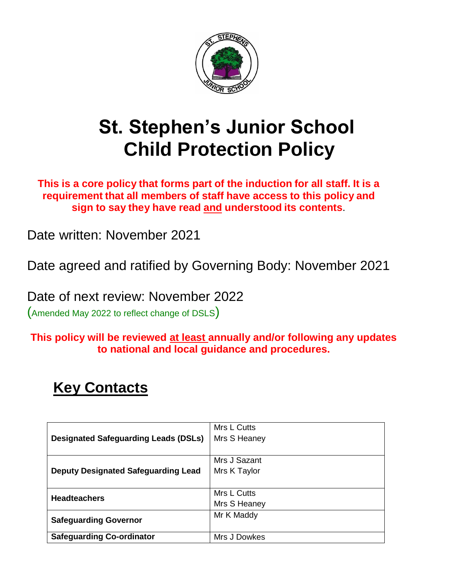

# **St. Stephen's Junior School Child Protection Policy**

**This is a core policy that forms part of the induction for all staff. It is a requirement that all members of staff have access to this policy and sign to say they have read and understood its contents**.

Date written: November 2021

Date agreed and ratified by Governing Body: November 2021

Date of next review: November 2022

(Amended May 2022 to reflect change of DSLS)

**This policy will be reviewed at least annually and/or following any updates to national and local guidance and procedures.**

# **Key Contacts**

|                                                                                           | Mrs L Cutts  |
|-------------------------------------------------------------------------------------------|--------------|
| <b>Designated Safeguarding Leads (DSLs)</b><br><b>Deputy Designated Safeguarding Lead</b> | Mrs S Heaney |
|                                                                                           |              |
|                                                                                           | Mrs J Sazant |
|                                                                                           | Mrs K Taylor |
| <b>Headteachers</b>                                                                       |              |
|                                                                                           | Mrs L Cutts  |
|                                                                                           | Mrs S Heaney |
| <b>Safeguarding Governor</b>                                                              | Mr K Maddy   |
|                                                                                           |              |
| <b>Safeguarding Co-ordinator</b>                                                          | Mrs J Dowkes |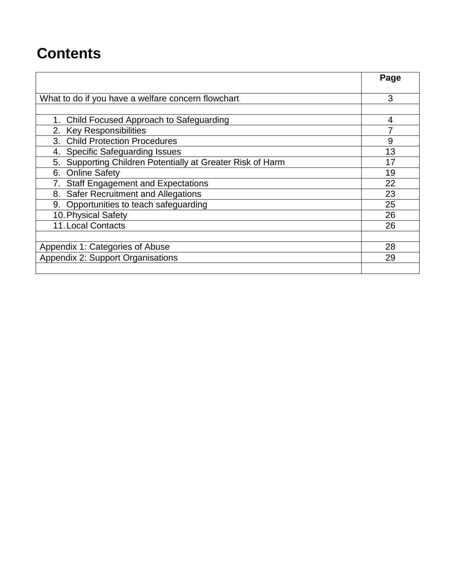# **Contents**

|                                                            | Page |
|------------------------------------------------------------|------|
|                                                            |      |
| What to do if you have a welfare concern flowchart         | 3    |
|                                                            |      |
| 1. Child Focused Approach to Safeguarding                  | 4    |
| 2. Key Responsibilities                                    |      |
| 3. Child Protection Procedures                             | 9    |
| 4. Specific Safeguarding Issues                            | 13   |
| 5. Supporting Children Potentially at Greater Risk of Harm | 17   |
| 6. Online Safety                                           | 19   |
| <b>Staff Engagement and Expectations</b>                   | 22   |
| <b>Safer Recruitment and Allegations</b><br>8.             | 23   |
| 9. Opportunities to teach safeguarding                     | 25   |
| 10. Physical Safety                                        | 26   |
| <b>11. Local Contacts</b>                                  | 26   |
|                                                            |      |
| Appendix 1: Categories of Abuse                            | 28   |
| Appendix 2: Support Organisations                          | 29   |
|                                                            |      |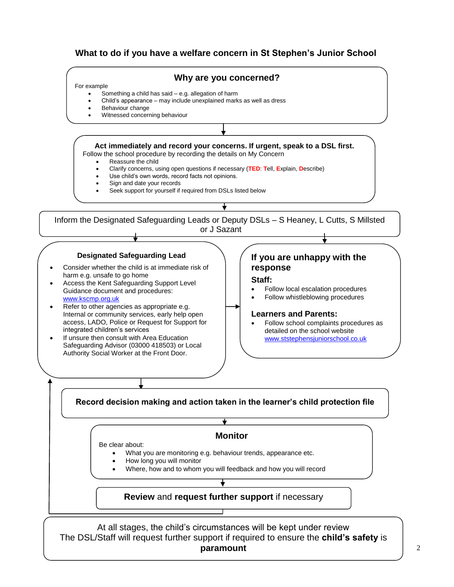## **What to do if you have a welfare concern in St Stephen's Junior School**



**paramount**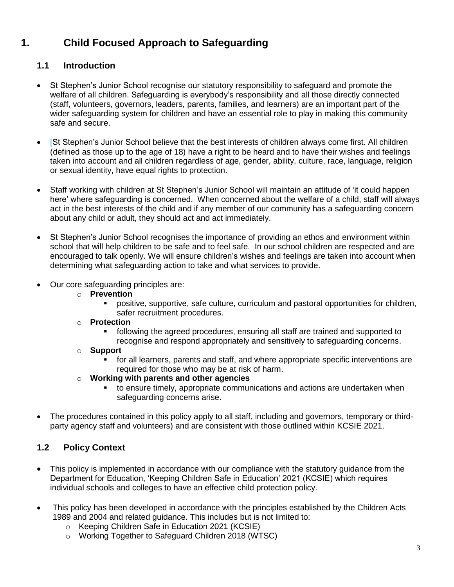# **1. Child Focused Approach to Safeguarding**

## **1.1 Introduction**

- St Stephen's Junior School recognise our statutory responsibility to safeguard and promote the welfare of all children. Safeguarding is everybody's responsibility and all those directly connected (staff, volunteers, governors, leaders, parents, families, and learners) are an important part of the wider safeguarding system for children and have an essential role to play in making this community safe and secure.
- [St Stephen's Junior School believe that the best interests of children always come first. All children (defined as those up to the age of 18) have a right to be heard and to have their wishes and feelings taken into account and all children regardless of age, gender, ability, culture, race, language, religion or sexual identity, have equal rights to protection.
- Staff working with children at St Stephen's Junior School will maintain an attitude of 'it could happen here' where safeguarding is concerned. When concerned about the welfare of a child, staff will always act in the best interests of the child and if any member of our community has a safeguarding concern about any child or adult, they should act and act immediately.
- St Stephen's Junior School recognises the importance of providing an ethos and environment within school that will help children to be safe and to feel safe. In our school children are respected and are encouraged to talk openly. We will ensure children's wishes and feelings are taken into account when determining what safeguarding action to take and what services to provide.
- Our core safeguarding principles are:
	- o **Prevention**
		- positive, supportive, safe culture, curriculum and pastoral opportunities for children, safer recruitment procedures.
	- o **Protection**
		- following the agreed procedures, ensuring all staff are trained and supported to recognise and respond appropriately and sensitively to safeguarding concerns.
	- o **Support**
		- for all learners, parents and staff, and where appropriate specific interventions are required for those who may be at risk of harm.
	- o **Working with parents and other agencies**
		- **times 1** to ensure timely, appropriate communications and actions are undertaken when safeguarding concerns arise.
- The procedures contained in this policy apply to all staff, including and governors, temporary or thirdparty agency staff and volunteers) and are consistent with those outlined within KCSIE 2021.

## **1.2 Policy Context**

- This policy is implemented in accordance with our compliance with the statutory guidance from the Department for Education, 'Keeping Children Safe in Education' 2021 (KCSIE) which requires individual schools and colleges to have an effective child protection policy.
- This policy has been developed in accordance with the principles established by the Children Acts 1989 and 2004 and related guidance. This includes but is not limited to:
	- o Keeping Children Safe in Education 2021 (KCSIE)
	- o Working Together to Safeguard Children 2018 (WTSC)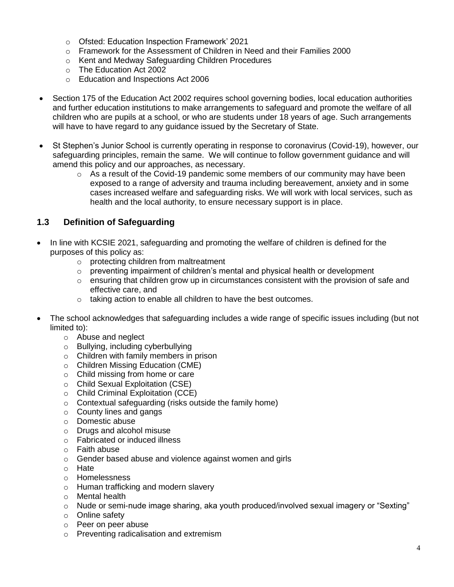- o Ofsted: Education Inspection Framework' 2021
- o Framework for the Assessment of Children in Need and their Families 2000
- o Kent and Medway Safeguarding Children Procedures
- o The Education Act 2002
- o Education and Inspections Act 2006
- Section 175 of the Education Act 2002 requires school governing bodies, local education authorities and further education institutions to make arrangements to safeguard and promote the welfare of all children who are pupils at a school, or who are students under 18 years of age. Such arrangements will have to have regard to any guidance issued by the Secretary of State.
- St Stephen's Junior School is currently operating in response to coronavirus (Covid-19), however, our safeguarding principles, remain the same. We will continue to follow government guidance and will amend this policy and our approaches, as necessary.
	- $\circ$  As a result of the Covid-19 pandemic some members of our community may have been exposed to a range of adversity and trauma including bereavement, anxiety and in some cases increased welfare and safeguarding risks. We will work with local services, such as health and the local authority, to ensure necessary support is in place.

## **1.3 Definition of Safeguarding**

- In line with KCSIE 2021, safeguarding and promoting the welfare of children is defined for the purposes of this policy as:
	- o protecting children from maltreatment
	- $\circ$  preventing impairment of children's mental and physical health or development
	- $\circ$  ensuring that children grow up in circumstances consistent with the provision of safe and effective care, and
	- o taking action to enable all children to have the best outcomes.
- The school acknowledges that safeguarding includes a wide range of specific issues including (but not limited to):
	- o Abuse and neglect
	- o Bullying, including cyberbullying
	- o Children with family members in prison
	- o Children Missing Education (CME)
	- o Child missing from home or care
	- o Child Sexual Exploitation (CSE)
	- o Child Criminal Exploitation (CCE)
	- o Contextual safeguarding (risks outside the family home)
	- o County lines and gangs
	- o Domestic abuse
	- o Drugs and alcohol misuse
	- o Fabricated or induced illness
	- o Faith abuse
	- o Gender based abuse and violence against women and girls
	- o Hate
	- o Homelessness
	- o Human trafficking and modern slavery
	- o Mental health
	- o Nude or semi-nude image sharing, aka youth produced/involved sexual imagery or "Sexting"
	- o Online safety
	- o Peer on peer abuse
	- o Preventing radicalisation and extremism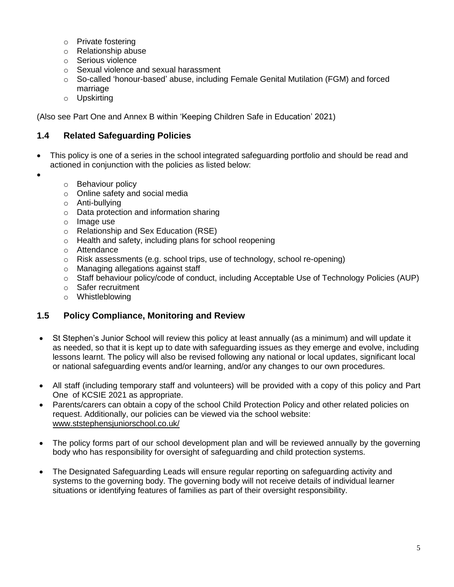- o Private fostering
- o Relationship abuse
- o Serious violence
- o Sexual violence and sexual harassment
- o So-called 'honour-based' abuse, including Female Genital Mutilation (FGM) and forced marriage
- o Upskirting

(Also see Part One and Annex B within 'Keeping Children Safe in Education' 2021)

#### **1.4 Related Safeguarding Policies**

- This policy is one of a series in the school integrated safeguarding portfolio and should be read and actioned in conjunction with the policies as listed below:
- $\bullet$
- o Behaviour policy
- o Online safety and social media
- o Anti-bullying
- o Data protection and information sharing
- o Image use
- o Relationship and Sex Education (RSE)
- o Health and safety, including plans for school reopening
- o Attendance
- $\circ$  Risk assessments (e.g. school trips, use of technology, school re-opening)
- o Managing allegations against staff
- o Staff behaviour policy/code of conduct, including Acceptable Use of Technology Policies (AUP)
- o Safer recruitment
- o Whistleblowing

#### **1.5 Policy Compliance, Monitoring and Review**

- St Stephen's Junior School will review this policy at least annually (as a minimum) and will update it as needed, so that it is kept up to date with safeguarding issues as they emerge and evolve, including lessons learnt. The policy will also be revised following any national or local updates, significant local or national safeguarding events and/or learning, and/or any changes to our own procedures.
- All staff (including temporary staff and volunteers) will be provided with a copy of this policy and Part One of KCSIE 2021 as appropriate.
- Parents/carers can obtain a copy of the school Child Protection Policy and other related policies on request. Additionally, our policies can be viewed via the school website: [www.ststephensjuniorschool.co.uk/](http://www.ststephensjuniorschool.co.uk/)
- The policy forms part of our school development plan and will be reviewed annually by the governing body who has responsibility for oversight of safeguarding and child protection systems.
- The Designated Safeguarding Leads will ensure regular reporting on safeguarding activity and systems to the governing body. The governing body will not receive details of individual learner situations or identifying features of families as part of their oversight responsibility.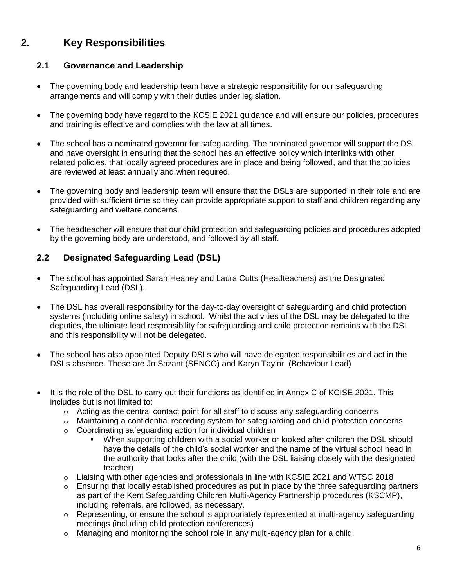# **2. Key Responsibilities**

## **2.1 Governance and Leadership**

- The governing body and leadership team have a strategic responsibility for our safeguarding arrangements and will comply with their duties under legislation.
- The governing body have regard to the KCSIE 2021 guidance and will ensure our policies, procedures and training is effective and complies with the law at all times.
- The school has a nominated governor for safeguarding. The nominated governor will support the DSL and have oversight in ensuring that the school has an effective policy which interlinks with other related policies, that locally agreed procedures are in place and being followed, and that the policies are reviewed at least annually and when required.
- The governing body and leadership team will ensure that the DSLs are supported in their role and are provided with sufficient time so they can provide appropriate support to staff and children regarding any safeguarding and welfare concerns.
- The headteacher will ensure that our child protection and safeguarding policies and procedures adopted by the governing body are understood, and followed by all staff.

## **2.2 Designated Safeguarding Lead (DSL)**

- The school has appointed Sarah Heaney and Laura Cutts (Headteachers) as the Designated Safeguarding Lead (DSL).
- The DSL has overall responsibility for the day-to-day oversight of safeguarding and child protection systems (including online safety) in school. Whilst the activities of the DSL may be delegated to the deputies, the ultimate lead responsibility for safeguarding and child protection remains with the DSL and this responsibility will not be delegated.
- The school has also appointed Deputy DSLs who will have delegated responsibilities and act in the DSLs absence. These are Jo Sazant (SENCO) and Karyn Taylor (Behaviour Lead)
- It is the role of the DSL to carry out their functions as identified in Annex C of KCISE 2021. This includes but is not limited to:
	- o Acting as the central contact point for all staff to discuss any safeguarding concerns
	- $\circ$  Maintaining a confidential recording system for safeguarding and child protection concerns
	- o Coordinating safeguarding action for individual children
		- When supporting children with a social worker or looked after children the DSL should have the details of the child's social worker and the name of the virtual school head in the authority that looks after the child (with the DSL liaising closely with the designated teacher)
	- $\circ$  Liaising with other agencies and professionals in line with KCSIE 2021 and WTSC 2018
	- $\circ$  Ensuring that locally established procedures as put in place by the three safeguarding partners as part of the Kent Safeguarding Children Multi-Agency Partnership procedures (KSCMP), including referrals, are followed, as necessary.
	- $\circ$  Representing, or ensure the school is appropriately represented at multi-agency safeguarding meetings (including child protection conferences)
	- o Managing and monitoring the school role in any multi-agency plan for a child.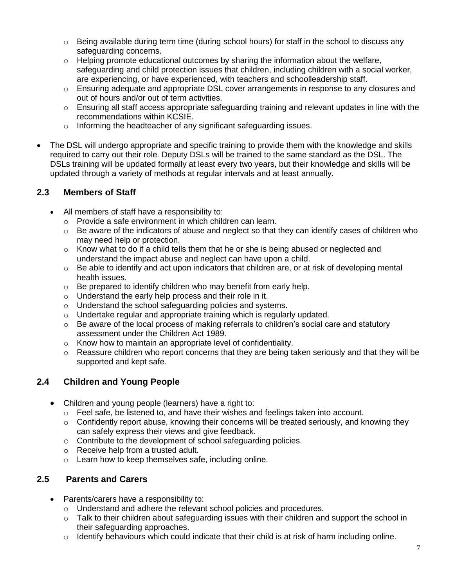- $\circ$  Being available during term time (during school hours) for staff in the school to discuss any safeguarding concerns.
- o Helping promote educational outcomes by sharing the information about the welfare, safeguarding and child protection issues that children, including children with a social worker, are experiencing, or have experienced, with teachers and schoolleadership staff.
- $\circ$  Ensuring adequate and appropriate DSL cover arrangements in response to any closures and out of hours and/or out of term activities.
- $\circ$  Ensuring all staff access appropriate safeguarding training and relevant updates in line with the recommendations within KCSIE.
- o Informing the headteacher of any significant safeguarding issues.
- The DSL will undergo appropriate and specific training to provide them with the knowledge and skills required to carry out their role. Deputy DSLs will be trained to the same standard as the DSL. The DSLs training will be updated formally at least every two years, but their knowledge and skills will be updated through a variety of methods at regular intervals and at least annually.

## **2.3 Members of Staff**

- All members of staff have a responsibility to:
	- o Provide a safe environment in which children can learn.
	- $\circ$  Be aware of the indicators of abuse and neglect so that they can identify cases of children who may need help or protection.
	- $\circ$  Know what to do if a child tells them that he or she is being abused or neglected and understand the impact abuse and neglect can have upon a child.
	- $\circ$  Be able to identify and act upon indicators that children are, or at risk of developing mental health issues.
	- $\circ$  Be prepared to identify children who may benefit from early help.
	- o Understand the early help process and their role in it.
	- o Understand the school safeguarding policies and systems.
	- o Undertake regular and appropriate training which is regularly updated.
	- $\circ$  Be aware of the local process of making referrals to children's social care and statutory assessment under the Children Act 1989.
	- o Know how to maintain an appropriate level of confidentiality.
	- $\circ$  Reassure children who report concerns that they are being taken seriously and that they will be supported and kept safe.

## **2.4 Children and Young People**

- Children and young people (learners) have a right to:
	- $\circ$  Feel safe, be listened to, and have their wishes and feelings taken into account.
	- $\circ$  Confidently report abuse, knowing their concerns will be treated seriously, and knowing they can safely express their views and give feedback.
	- o Contribute to the development of school safeguarding policies.
	- o Receive help from a trusted adult.
	- o Learn how to keep themselves safe, including online.

## **2.5 Parents and Carers**

- Parents/carers have a responsibility to:
	- o Understand and adhere the relevant school policies and procedures.
	- o Talk to their children about safeguarding issues with their children and support the school in their safeguarding approaches.
	- o Identify behaviours which could indicate that their child is at risk of harm including online.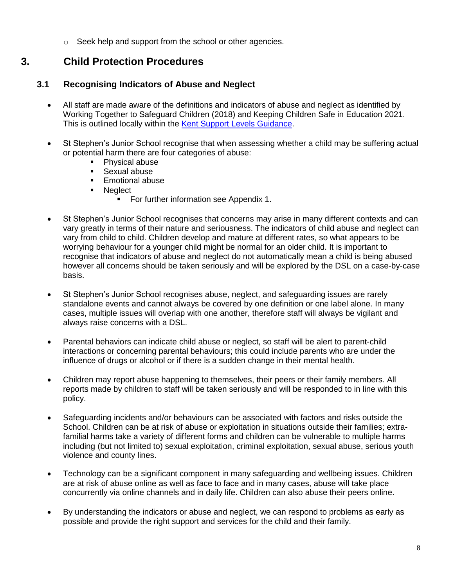o Seek help and support from the school or other agencies.

## **3. Child Protection Procedures**

## **3.1 Recognising Indicators of Abuse and Neglect**

- All staff are made aware of the definitions and indicators of abuse and neglect as identified by Working Together to Safeguard Children (2018) and Keeping Children Safe in Education 2021. This is outlined locally within the [Kent Support Levels Guidance.](https://www.kscmp.org.uk/guidance/kent-support-levels-guidance)
- St Stephen's Junior School recognise that when assessing whether a child may be suffering actual or potential harm there are four categories of abuse:
	- Physical abuse
	- **Sexual abuse**
	- **Emotional abuse**
	- **Neglect** 
		- **For further information see Appendix 1.**
- St Stephen's Junior School recognises that concerns may arise in many different contexts and can vary greatly in terms of their nature and seriousness. The indicators of child abuse and neglect can vary from child to child. Children develop and mature at different rates, so what appears to be worrying behaviour for a younger child might be normal for an older child. It is important to recognise that indicators of abuse and neglect do not automatically mean a child is being abused however all concerns should be taken seriously and will be explored by the DSL on a case-by-case basis.
- St Stephen's Junior School recognises abuse, neglect, and safeguarding issues are rarely standalone events and cannot always be covered by one definition or one label alone. In many cases, multiple issues will overlap with one another, therefore staff will always be vigilant and always raise concerns with a DSL.
- Parental behaviors can indicate child abuse or neglect, so staff will be alert to parent-child interactions or concerning parental behaviours; this could include parents who are under the influence of drugs or alcohol or if there is a sudden change in their mental health.
- Children may report abuse happening to themselves, their peers or their family members. All reports made by children to staff will be taken seriously and will be responded to in line with this policy.
- Safeguarding incidents and/or behaviours can be associated with factors and risks outside the School. Children can be at risk of abuse or exploitation in situations outside their families; extrafamilial harms take a variety of different forms and children can be vulnerable to multiple harms including (but not limited to) sexual exploitation, criminal exploitation, sexual abuse, serious youth violence and county lines.
- Technology can be a significant component in many safeguarding and wellbeing issues. Children are at risk of abuse online as well as face to face and in many cases, abuse will take place concurrently via online channels and in daily life. Children can also abuse their peers online.
- By understanding the indicators or abuse and neglect, we can respond to problems as early as possible and provide the right support and services for the child and their family.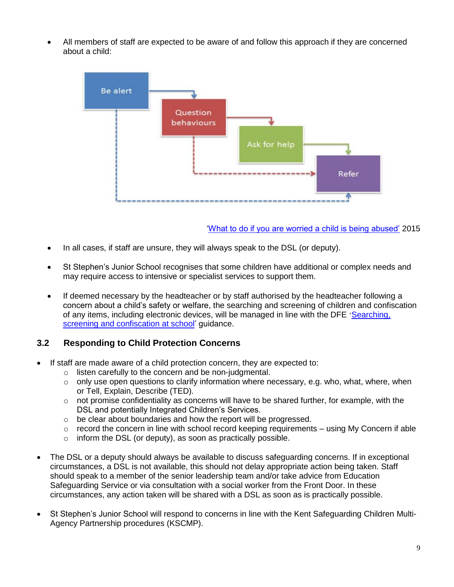All members of staff are expected to be aware of and follow this approach if they are concerned about a child:



#### ['What to do if you are worried a child is being abused'](https://www.gov.uk/government/publications/what-to-do-if-youre-worried-a-child-is-being-abused--2) 2015

- In all cases, if staff are unsure, they will always speak to the DSL (or deputy).
- St Stephen's Junior School recognises that some children have additional or complex needs and may require access to intensive or specialist services to support them.
- If deemed necessary by the headteacher or by staff authorised by the headteacher following a concern about a child's safety or welfare, the searching and screening of children and confiscation of any items, including electronic devices, will be managed in line with the DFE 'Searching, [screening and confiscation at school'](https://www.gov.uk/government/publications/searching-screening-and-confiscation) guidance.

## **3.2 Responding to Child Protection Concerns**

- If staff are made aware of a child protection concern, they are expected to:
	- o listen carefully to the concern and be non-judgmental.
	- $\circ$  only use open questions to clarify information where necessary, e.g. who, what, where, when or Tell, Explain, Describe (TED).
	- $\circ$  not promise confidentiality as concerns will have to be shared further, for example, with the DSL and potentially Integrated Children's Services.
	- o be clear about boundaries and how the report will be progressed.
	- $\circ$  record the concern in line with school record keeping requirements using My Concern if able
	- $\circ$  inform the DSL (or deputy), as soon as practically possible.
- The DSL or a deputy should always be available to discuss safeguarding concerns. If in exceptional circumstances, a DSL is not available, this should not delay appropriate action being taken. Staff should speak to a member of the senior leadership team and/or take advice from Education Safeguarding Service or via consultation with a social worker from the Front Door. In these circumstances, any action taken will be shared with a DSL as soon as is practically possible.
- St Stephen's Junior School will respond to concerns in line with the Kent Safeguarding Children Multi-Agency Partnership procedures (KSCMP).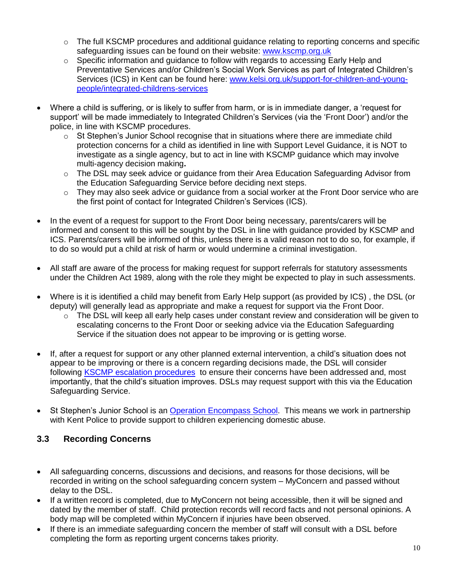- $\circ$  The full KSCMP procedures and additional guidance relating to reporting concerns and specific safeguarding issues can be found on their website: [www.kscmp.org.uk](http://www.kscmp.org.uk/)
- $\circ$  Specific information and guidance to follow with regards to accessing Early Help and Preventative Services and/or Children's Social Work Services as part of Integrated Children's Services (ICS) in Kent can be found here: [www.kelsi.org.uk/support-for-children-and-young](http://www.kelsi.org.uk/support-for-children-and-young-people/integrated-childrens-services)[people/integrated-childrens-services](http://www.kelsi.org.uk/support-for-children-and-young-people/integrated-childrens-services)
- Where a child is suffering, or is likely to suffer from harm, or is in immediate danger, a 'request for support' will be made immediately to Integrated Children's Services (via the 'Front Door') and/or the police, in line with KSCMP procedures.
	- $\circ$  St Stephen's Junior School recognise that in situations where there are immediate child protection concerns for a child as identified in line with Support Level Guidance, it is NOT to investigate as a single agency, but to act in line with KSCMP guidance which may involve multi-agency decision making**.**
	- $\circ$  The DSL may seek advice or guidance from their Area Education Safeguarding Advisor from the Education Safeguarding Service before deciding next steps.
	- $\circ$  They may also seek advice or guidance from a social worker at the Front Door service who are the first point of contact for Integrated Children's Services (ICS).
- In the event of a request for support to the Front Door being necessary, parents/carers will be informed and consent to this will be sought by the DSL in line with guidance provided by KSCMP and ICS. Parents/carers will be informed of this, unless there is a valid reason not to do so, for example, if to do so would put a child at risk of harm or would undermine a criminal investigation.
- All staff are aware of the process for making request for support referrals for statutory assessments under the Children Act 1989, along with the role they might be expected to play in such assessments.
- Where is it is identified a child may benefit from Early Help support (as provided by ICS) , the DSL (or deputy) will generally lead as appropriate and make a request for support via the Front Door.
	- $\circ$  The DSL will keep all early help cases under constant review and consideration will be given to escalating concerns to the Front Door or seeking advice via the Education Safeguarding Service if the situation does not appear to be improving or is getting worse.
- If, after a request for support or any other planned external intervention, a child's situation does not appear to be improving or there is a concern regarding decisions made, the DSL will consider following [KSCMP escalation procedures](https://www.proceduresonline.com/kentandmedway/chapters/p_resolution.html) to ensure their concerns have been addressed and, most importantly, that the child's situation improves. DSLs may request support with this via the Education Safeguarding Service.
- St Stephen's Junior School is an [Operation Encompass School.](https://www.operationencompass.org/) This means we work in partnership with Kent Police to provide support to children experiencing domestic abuse.

## **3.3 Recording Concerns**

- All safeguarding concerns, discussions and decisions, and reasons for those decisions, will be recorded in writing on the school safeguarding concern system – MyConcern and passed without delay to the DSL.
- If a written record is completed, due to MyConcern not being accessible, then it will be signed and dated by the member of staff. Child protection records will record facts and not personal opinions. A body map will be completed within MyConcern if injuries have been observed.
- If there is an immediate safeguarding concern the member of staff will consult with a DSL before completing the form as reporting urgent concerns takes priority.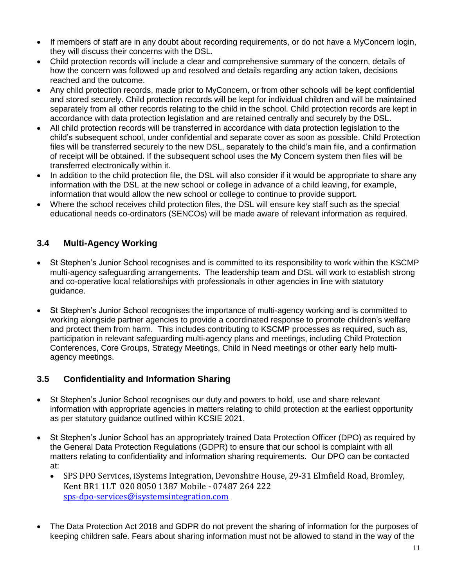- If members of staff are in any doubt about recording requirements, or do not have a MyConcern login, they will discuss their concerns with the DSL.
- Child protection records will include a clear and comprehensive summary of the concern, details of how the concern was followed up and resolved and details regarding any action taken, decisions reached and the outcome.
- Any child protection records, made prior to MyConcern, or from other schools will be kept confidential and stored securely. Child protection records will be kept for individual children and will be maintained separately from all other records relating to the child in the school. Child protection records are kept in accordance with data protection legislation and are retained centrally and securely by the DSL.
- All child protection records will be transferred in accordance with data protection legislation to the child's subsequent school, under confidential and separate cover as soon as possible. Child Protection files will be transferred securely to the new DSL, separately to the child's main file, and a confirmation of receipt will be obtained. If the subsequent school uses the My Concern system then files will be transferred electronically within it.
- In addition to the child protection file, the DSL will also consider if it would be appropriate to share any information with the DSL at the new school or college in advance of a child leaving, for example, information that would allow the new school or college to continue to provide support.
- Where the school receives child protection files, the DSL will ensure key staff such as the special educational needs co-ordinators (SENCOs) will be made aware of relevant information as required.

## **3.4 Multi-Agency Working**

- St Stephen's Junior School recognises and is committed to its responsibility to work within the KSCMP multi-agency safeguarding arrangements. The leadership team and DSL will work to establish strong and co-operative local relationships with professionals in other agencies in line with statutory guidance.
- St Stephen's Junior School recognises the importance of multi-agency working and is committed to working alongside partner agencies to provide a coordinated response to promote children's welfare and protect them from harm. This includes contributing to KSCMP processes as required, such as, participation in relevant safeguarding multi-agency plans and meetings, including Child Protection Conferences, Core Groups, Strategy Meetings, Child in Need meetings or other early help multiagency meetings.

## **3.5 Confidentiality and Information Sharing**

- St Stephen's Junior School recognises our duty and powers to hold, use and share relevant information with appropriate agencies in matters relating to child protection at the earliest opportunity as per statutory guidance outlined within KCSIE 2021.
- St Stephen's Junior School has an appropriately trained Data Protection Officer (DPO) as required by the General Data Protection Regulations (GDPR) to ensure that our school is complaint with all matters relating to confidentiality and information sharing requirements.Our DPO can be contacted at:
	- SPS DPO Services, iSystems Integration, Devonshire House, 29-31 Elmfield Road, Bromley, Kent BR1 1LT 020 8050 1387 Mobile - 07487 264 222 [sps-dpo-services@isystemsintegration.com](mailto:sps-dpo-services@isystemsintegration.com)
- The Data Protection Act 2018 and GDPR do not prevent the sharing of information for the purposes of keeping children safe. Fears about sharing information must not be allowed to stand in the way of the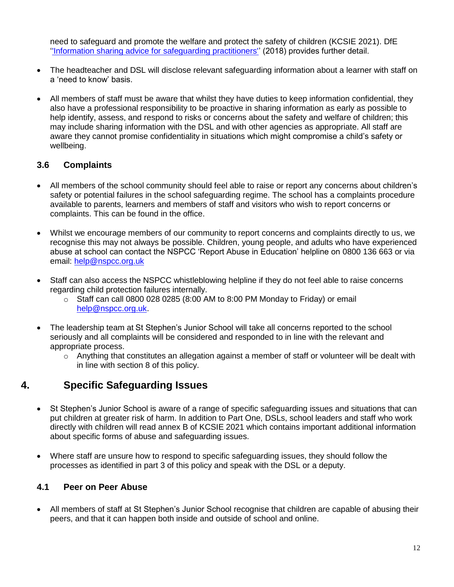need to safeguard and promote the welfare and protect the safety of children (KCSIE 2021). DfE [''Information sharing advice for safeguarding practitioners''](https://www.gov.uk/government/publications/safeguarding-practitioners-information-sharing-advice) (2018) provides further detail.

- The headteacher and DSL will disclose relevant safeguarding information about a learner with staff on a 'need to know' basis.
- All members of staff must be aware that whilst they have duties to keep information confidential, they also have a professional responsibility to be proactive in sharing information as early as possible to help identify, assess, and respond to risks or concerns about the safety and welfare of children; this may include sharing information with the DSL and with other agencies as appropriate. All staff are aware they cannot promise confidentiality in situations which might compromise a child's safety or wellbeing.

## **3.6 Complaints**

- All members of the school community should feel able to raise or report any concerns about children's safety or potential failures in the school safeguarding regime. The school has a complaints procedure available to parents, learners and members of staff and visitors who wish to report concerns or complaints. This can be found in the office.
- Whilst we encourage members of our community to report concerns and complaints directly to us, we recognise this may not always be possible. Children, young people, and adults who have experienced abuse at school can contact the NSPCC 'Report Abuse in Education' helpline on [0800 136 663](tel:0800%20136%20663) or via email: [help@nspcc.org.uk](mailto:help@nspcc.org.uk)
- Staff can also access the NSPCC whistleblowing helpline if they do not feel able to raise concerns regarding child protection failures internally.
	- $\circ$  Staff can call 0800 028 0285 (8:00 AM to 8:00 PM Monday to Friday) or email [help@nspcc.org.uk.](mailto:help@nspcc.org.uk)
- The leadership team at St Stephen's Junior School will take all concerns reported to the school seriously and all complaints will be considered and responded to in line with the relevant and appropriate process.
	- $\circ$  Anything that constitutes an allegation against a member of staff or volunteer will be dealt with in line with section 8 of this policy.

# **4. Specific Safeguarding Issues**

- St Stephen's Junior School is aware of a range of specific safeguarding issues and situations that can put children at greater risk of harm. In addition to Part One, DSLs, school leaders and staff who work directly with children will read annex B of KCSIE 2021 which contains important additional information about specific forms of abuse and safeguarding issues.
- Where staff are unsure how to respond to specific safeguarding issues, they should follow the processes as identified in part 3 of this policy and speak with the DSL or a deputy.

## **4.1 Peer on Peer Abuse**

 All members of staff at St Stephen's Junior School recognise that children are capable of abusing their peers, and that it can happen both inside and outside of school and online.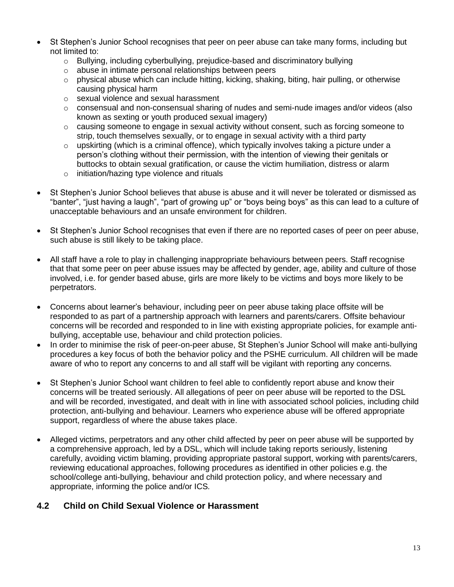- St Stephen's Junior School recognises that peer on peer abuse can take many forms, including but not limited to:
	- $\circ$  Bullying, including cyberbullying, prejudice-based and discriminatory bullying
	- o abuse in intimate personal relationships between peers
	- $\circ$  physical abuse which can include hitting, kicking, shaking, biting, hair pulling, or otherwise causing physical harm
	- o sexual violence and sexual harassment
	- $\circ$  consensual and non-consensual sharing of nudes and semi-nude images and/or videos (also known as sexting or youth produced sexual imagery)
	- o causing someone to engage in sexual activity without consent, such as forcing someone to strip, touch themselves sexually, or to engage in sexual activity with a third party
	- $\circ$  upskirting (which is a criminal offence), which typically involves taking a picture under a person's clothing without their permission, with the intention of viewing their genitals or buttocks to obtain sexual gratification, or cause the victim humiliation, distress or alarm
	- o initiation/hazing type violence and rituals
- St Stephen's Junior School believes that abuse is abuse and it will never be tolerated or dismissed as "banter", "just having a laugh", "part of growing up" or "boys being boys" as this can lead to a culture of unacceptable behaviours and an unsafe environment for children.
- St Stephen's Junior School recognises that even if there are no reported cases of peer on peer abuse, such abuse is still likely to be taking place.
- All staff have a role to play in challenging inappropriate behaviours between peers. Staff recognise that that some peer on peer abuse issues may be affected by gender, age, ability and culture of those involved, i.e. for gender based abuse, girls are more likely to be victims and boys more likely to be perpetrators.
- Concerns about learner's behaviour, including peer on peer abuse taking place offsite will be responded to as part of a partnership approach with learners and parents/carers. Offsite behaviour concerns will be recorded and responded to in line with existing appropriate policies, for example antibullying, acceptable use, behaviour and child protection policies.
- In order to minimise the risk of peer-on-peer abuse, St Stephen's Junior School will make anti-bullying procedures a key focus of both the behavior policy and the PSHE curriculum. All children will be made aware of who to report any concerns to and all staff will be vigilant with reporting any concerns.
- St Stephen's Junior School want children to feel able to confidently report abuse and know their concerns will be treated seriously. All allegations of peer on peer abuse will be reported to the DSL and will be recorded, investigated, and dealt with in line with associated school policies, including child protection, anti-bullying and behaviour. Learners who experience abuse will be offered appropriate support, regardless of where the abuse takes place.
- Alleged victims, perpetrators and any other child affected by peer on peer abuse will be supported by a comprehensive approach, led by a DSL, which will include taking reports seriously, listening carefully, avoiding victim blaming, providing appropriate pastoral support, working with parents/carers, reviewing educational approaches, following procedures as identified in other policies e.g. the school/college anti-bullying, behaviour and child protection policy, and where necessary and appropriate, informing the police and/or ICS*.*

#### **4.2 Child on Child Sexual Violence or Harassment**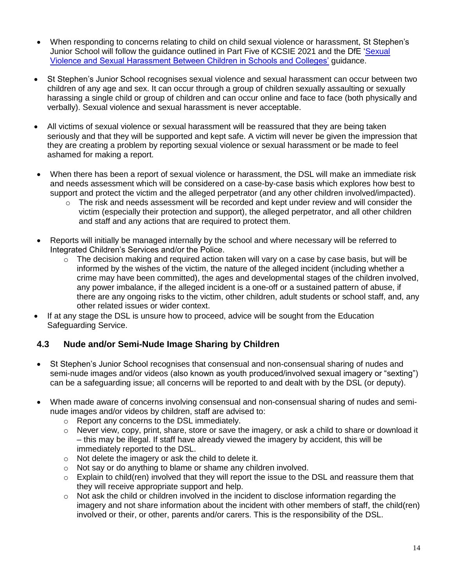- When responding to concerns relating to child on child sexual violence or harassment, St Stephen's Junior School will follow the guidance outlined in Part Five of KCSIE 2021 and the DfE ['Sexual](https://www.gov.uk/government/publications/sexual-violence-and-sexual-harassment-between-children-in-schools-and-colleges)  [Violence and Sexual Harassment Between Children in Schools and Colleges'](https://www.gov.uk/government/publications/sexual-violence-and-sexual-harassment-between-children-in-schools-and-colleges) guidance.
- St Stephen's Junior School recognises sexual violence and sexual harassment can occur between two children of any age and sex. It can occur through a group of children sexually assaulting or sexually harassing a single child or group of children and can occur online and face to face (both physically and verbally). Sexual violence and sexual harassment is never acceptable.
- All victims of sexual violence or sexual harassment will be reassured that they are being taken seriously and that they will be supported and kept safe. A victim will never be given the impression that they are creating a problem by reporting sexual violence or sexual harassment or be made to feel ashamed for making a report.
- When there has been a report of sexual violence or harassment, the DSL will make an immediate risk and needs assessment which will be considered on a case-by-case basis which explores how best to support and protect the victim and the alleged perpetrator (and any other children involved/impacted).
	- $\circ$  The risk and needs assessment will be recorded and kept under review and will consider the victim (especially their protection and support), the alleged perpetrator, and all other children and staff and any actions that are required to protect them.
- Reports will initially be managed internally by the school and where necessary will be referred to Integrated Children's Services and/or the Police.
	- $\circ$  The decision making and required action taken will vary on a case by case basis, but will be informed by the wishes of the victim, the nature of the alleged incident (including whether a crime may have been committed), the ages and developmental stages of the children involved, any power imbalance, if the alleged incident is a one-off or a sustained pattern of abuse, if there are any ongoing risks to the victim, other children, adult students or school staff, and, any other related issues or wider context.
- If at any stage the DSL is unsure how to proceed, advice will be sought from the Education Safeguarding Service.

## **4.3 Nude and/or Semi-Nude Image Sharing by Children**

- St Stephen's Junior School recognises that consensual and non-consensual sharing of nudes and semi-nude images and/or videos (also known as youth produced/involved sexual imagery or "sexting") can be a safeguarding issue; all concerns will be reported to and dealt with by the DSL (or deputy).
- When made aware of concerns involving consensual and non-consensual sharing of nudes and seminude images and/or videos by children, staff are advised to:
	- o Report any concerns to the DSL immediately.
	- $\circ$  Never view, copy, print, share, store or save the imagery, or ask a child to share or download it – this may be illegal. If staff have already viewed the imagery by accident, this will be immediately reported to the DSL.
	- o Not delete the imagery or ask the child to delete it.
	- o Not say or do anything to blame or shame any children involved.
	- $\circ$  Explain to child(ren) involved that they will report the issue to the DSL and reassure them that they will receive appropriate support and help.
	- $\circ$  Not ask the child or children involved in the incident to disclose information regarding the imagery and not share information about the incident with other members of staff, the child(ren) involved or their, or other, parents and/or carers. This is the responsibility of the DSL.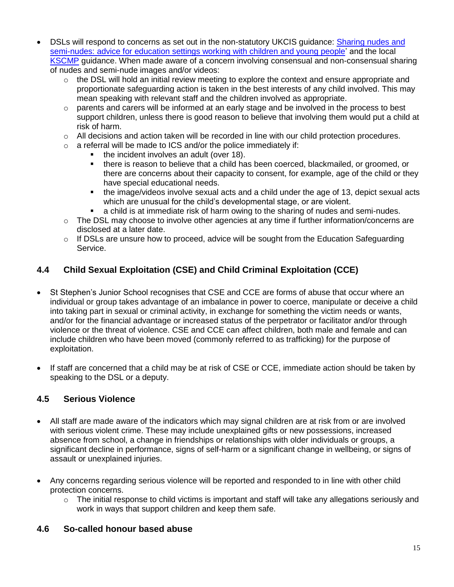- DSLs will respond to concerns as set out in the non-statutory UKCIS guidance: [Sharing nudes and](https://www.gov.uk/government/publications/sharing-nudes-and-semi-nudes-advice-for-education-settings-working-with-children-and-young-people)  [semi-nudes: advice for education settings working with children and young people'](https://www.gov.uk/government/publications/sharing-nudes-and-semi-nudes-advice-for-education-settings-working-with-children-and-young-people) and the local [KSCMP](http://www.kscb.org.uk/guidance/online-safety) guidance. When made aware of a concern involving consensual and non-consensual sharing of nudes and semi-nude images and/or videos:
	- $\circ$  the DSL will hold an initial review meeting to explore the context and ensure appropriate and proportionate safeguarding action is taken in the best interests of any child involved. This may mean speaking with relevant staff and the children involved as appropriate.
	- $\circ$  parents and carers will be informed at an early stage and be involved in the process to best support children, unless there is good reason to believe that involving them would put a child at risk of harm.
	- $\circ$  All decisions and action taken will be recorded in line with our child protection procedures.
	- $\circ$  a referral will be made to ICS and/or the police immediately if:
		- the incident involves an adult (over 18).
		- there is reason to believe that a child has been coerced, blackmailed, or groomed, or there are concerns about their capacity to consent, for example, age of the child or they have special educational needs.
		- the image/videos involve sexual acts and a child under the age of 13, depict sexual acts which are unusual for the child's developmental stage, or are violent.
		- a child is at immediate risk of harm owing to the sharing of nudes and semi-nudes.
	- o The DSL may choose to involve other agencies at any time if further information/concerns are disclosed at a later date.
	- $\circ$  If DSLs are unsure how to proceed, advice will be sought from the Education Safeguarding Service.

## **4.4 Child Sexual Exploitation (CSE) and Child Criminal Exploitation (CCE)**

- St Stephen's Junior School recognises that CSE and CCE are forms of abuse that occur where an individual or group takes advantage of an imbalance in power to coerce, manipulate or deceive a child into taking part in sexual or criminal activity, in exchange for something the victim needs or wants, and/or for the financial advantage or increased status of the perpetrator or facilitator and/or through violence or the threat of violence. CSE and CCE can affect children, both male and female and can include children who have been moved (commonly referred to as trafficking) for the purpose of exploitation.
- If staff are concerned that a child may be at risk of CSE or CCE, immediate action should be taken by speaking to the DSL or a deputy.

## **4.5 Serious Violence**

- All staff are made aware of the indicators which may signal children are at risk from or are involved with serious violent crime. These may include unexplained gifts or new possessions, increased absence from school, a change in friendships or relationships with older individuals or groups, a significant decline in performance, signs of self-harm or a significant change in wellbeing, or signs of assault or unexplained injuries.
- Any concerns regarding serious violence will be reported and responded to in line with other child protection concerns.
	- $\circ$  The initial response to child victims is important and staff will take any allegations seriously and work in ways that support children and keep them safe.

## **4.6 So-called honour based abuse**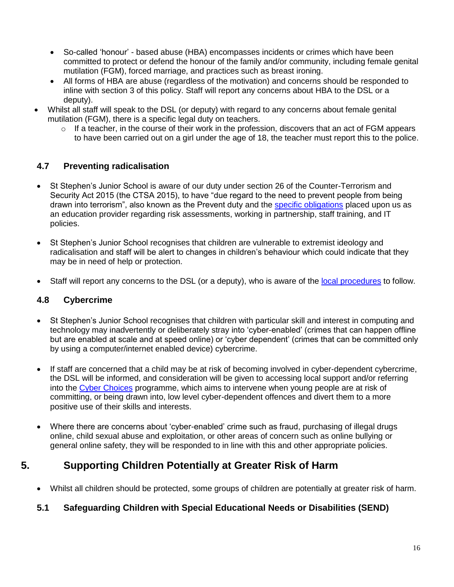- So-called 'honour' based abuse (HBA) encompasses incidents or crimes which have been committed to protect or defend the honour of the family and/or community, including female genital mutilation (FGM), forced marriage, and practices such as breast ironing.
- All forms of HBA are abuse (regardless of the motivation) and concerns should be responded to inline with section 3 of this policy. Staff will report any concerns about HBA to the DSL or a deputy).
- Whilst all staff will speak to the DSL (or deputy) with regard to any concerns about female genital mutilation (FGM), there is a specific legal duty on teachers.
	- $\circ$  If a teacher, in the course of their work in the profession, discovers that an act of FGM appears to have been carried out on a girl under the age of 18, the teacher must report this to the police.

## **4.7 Preventing radicalisation**

- St Stephen's Junior School is aware of our duty under section 26 of the Counter-Terrorism and Security Act 2015 (the CTSA 2015), to have "due regard to the need to prevent people from being drawn into terrorism", also known as the Prevent duty and the [specific obligations](https://www.gov.uk/government/publications/prevent-duty-guidance/prevent-duty-guidance-for-further-education-institutions-in-england-and-wales) placed upon us as an education provider regarding risk assessments, working in partnership, staff training, and IT policies.
- St Stephen's Junior School recognises that children are vulnerable to extremist ideology and radicalisation and staff will be alert to changes in children's behaviour which could indicate that they may be in need of help or protection.
- Staff will report any concerns to the DSL (or a deputy), who is aware of the [local procedures](https://www.kelsi.org.uk/child-protection-and-safeguarding/prevent-within-schools) to follow.

## **4.8 Cybercrime**

- St Stephen's Junior School recognises that children with particular skill and interest in computing and technology may inadvertently or deliberately stray into 'cyber-enabled' (crimes that can happen offline but are enabled at scale and at speed online) or 'cyber dependent' (crimes that can be committed only by using a computer/internet enabled device) cybercrime.
- If staff are concerned that a child may be at risk of becoming involved in cyber-dependent cybercrime, the DSL will be informed, and consideration will be given to accessing local support and/or referring into the [Cyber Choices](http://www.cyberchoices.uk/) programme, which aims to intervene when young people are at risk of committing, or being drawn into, low level cyber-dependent offences and divert them to a more positive use of their skills and interests.
- Where there are concerns about 'cyber-enabled' crime such as fraud, purchasing of illegal drugs online, child sexual abuse and exploitation, or other areas of concern such as online bullying or general online safety, they will be responded to in line with this and other appropriate policies.

# **5. Supporting Children Potentially at Greater Risk of Harm**

Whilst all children should be protected, some groups of children are potentially at greater risk of harm.

## **5.1 Safeguarding Children with Special Educational Needs or Disabilities (SEND)**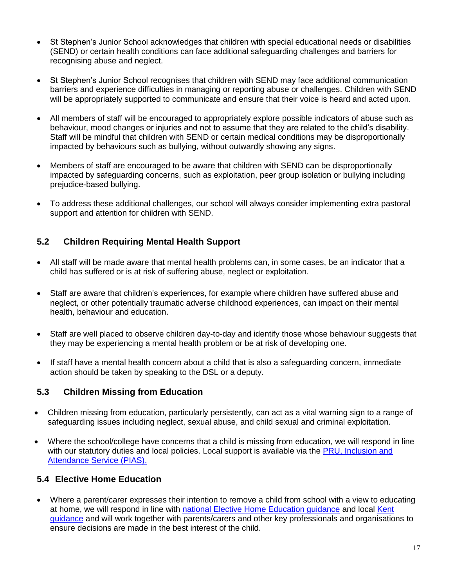- St Stephen's Junior School acknowledges that children with special educational needs or disabilities (SEND) or certain health conditions can face additional safeguarding challenges and barriers for recognising abuse and neglect.
- St Stephen's Junior School recognises that children with SEND may face additional communication barriers and experience difficulties in managing or reporting abuse or challenges. Children with SEND will be appropriately supported to communicate and ensure that their voice is heard and acted upon.
- All members of staff will be encouraged to appropriately explore possible indicators of abuse such as behaviour, mood changes or injuries and not to assume that they are related to the child's disability. Staff will be mindful that children with SEND or certain medical conditions may be disproportionally impacted by behaviours such as bullying, without outwardly showing any signs.
- Members of staff are encouraged to be aware that children with SEND can be disproportionally impacted by safeguarding concerns, such as exploitation, peer group isolation or bullying including prejudice-based bullying.
- To address these additional challenges, our school will always consider implementing extra pastoral support and attention for children with SEND.

## **5.2 Children Requiring Mental Health Support**

- All staff will be made aware that mental health problems can, in some cases, be an indicator that a child has suffered or is at risk of suffering abuse, neglect or exploitation.
- Staff are aware that children's experiences, for example where children have suffered abuse and neglect, or other potentially traumatic adverse childhood experiences, can impact on their mental health, behaviour and education.
- Staff are well placed to observe children day-to-day and identify those whose behaviour suggests that they may be experiencing a mental health problem or be at risk of developing one.
- If staff have a mental health concern about a child that is also a safeguarding concern, immediate action should be taken by speaking to the DSL or a deputy.

#### **5.3 Children Missing from Education**

- Children missing from education, particularly persistently, can act as a vital warning sign to a range of safeguarding issues including neglect, sexual abuse, and child sexual and criminal exploitation.
- Where the school/college have concerns that a child is missing from education, we will respond in line with our statutory duties and local policies. Local support is available via the PRU, Inclusion and [Attendance Service \(PIAS\).](https://www.kelsi.org.uk/pru-inclusion-and-attendance-service-pias)

#### **5.4 Elective Home Education**

 Where a parent/carer expresses their intention to remove a child from school with a view to educating at home, we will respond in line with national Elective Home Education quidance and local [Kent](https://www.kent.gov.uk/education-and-children/educating-your-child-at-home) [guidance](https://www.kent.gov.uk/education-and-children/educating-your-child-at-home) and will work together with parents/carers and other key professionals and organisations to ensure decisions are made in the best interest of the child.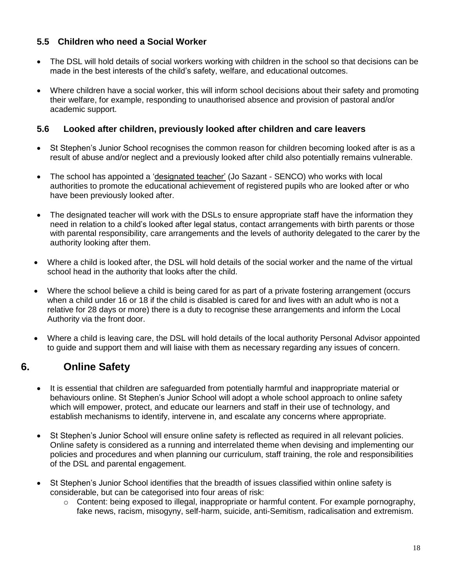## **5.5 Children who need a Social Worker**

- The DSL will hold details of social workers working with children in the school so that decisions can be made in the best interests of the child's safety, welfare, and educational outcomes.
- Where children have a social worker, this will inform school decisions about their safety and promoting their welfare, for example, responding to unauthorised absence and provision of pastoral and/or academic support.

#### **5.6 Looked after children, previously looked after children and care leavers**

- St Stephen's Junior School recognises the common reason for children becoming looked after is as a result of abuse and/or neglect and a previously looked after child also potentially remains vulnerable.
- The school has appointed a ['designated teacher'](https://www.gov.uk/government/publications/designated-teacher-for-looked-after-children) (Jo Sazant SENCO) who works with local authorities to promote the educational achievement of registered pupils who are looked after or who have been previously looked after.
- The designated teacher will work with the DSLs to ensure appropriate staff have the information they need in relation to a child's looked after legal status, contact arrangements with birth parents or those with parental responsibility, care arrangements and the levels of authority delegated to the carer by the authority looking after them.
- Where a child is looked after, the DSL will hold details of the social worker and the name of the virtual school head in the authority that looks after the child.
- Where the school believe a child is being cared for as part of a private fostering arrangement (occurs when a child under 16 or 18 if the child is disabled is cared for and lives with an adult who is not a relative for 28 days or more) there is a duty to recognise these arrangements and inform the Local Authority via the front door.
- Where a child is leaving care, the DSL will hold details of the local authority Personal Advisor appointed to guide and support them and will liaise with them as necessary regarding any issues of concern.

# **6. Online Safety**

- It is essential that children are safeguarded from potentially harmful and inappropriate material or behaviours online. St Stephen's Junior School will adopt a whole school approach to online safety which will empower, protect, and educate our learners and staff in their use of technology, and establish mechanisms to identify, intervene in, and escalate any concerns where appropriate.
- St Stephen's Junior School will ensure online safety is reflected as required in all relevant policies. Online safety is considered as a running and interrelated theme when devising and implementing our policies and procedures and when planning our curriculum, staff training, the role and responsibilities of the DSL and parental engagement.
- St Stephen's Junior School identifies that the breadth of issues classified within online safety is considerable, but can be categorised into four areas of risk:
	- $\circ$  Content: being exposed to illegal, inappropriate or harmful content. For example pornography, fake news, racism, misogyny, self-harm, suicide, anti-Semitism, radicalisation and extremism.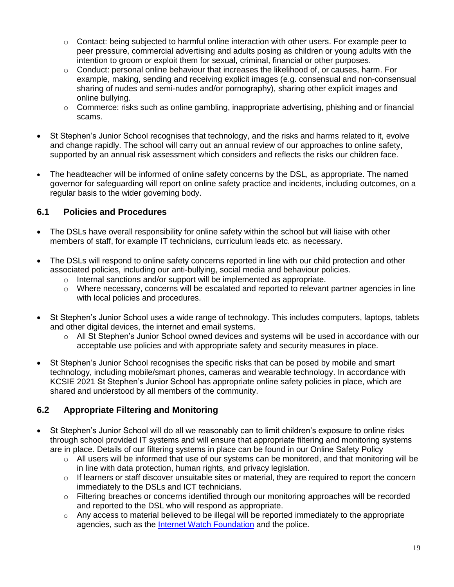- $\circ$  Contact: being subjected to harmful online interaction with other users. For example peer to peer pressure, commercial advertising and adults posing as children or young adults with the intention to groom or exploit them for sexual, criminal, financial or other purposes.
- o Conduct: personal online behaviour that increases the likelihood of, or causes, harm. For example, making, sending and receiving explicit images (e.g. consensual and non-consensual sharing of nudes and semi-nudes and/or pornography), sharing other explicit images and online bullying.
- $\circ$  Commerce: risks such as online gambling, inappropriate advertising, phishing and or financial scams.
- St Stephen's Junior School recognises that technology, and the risks and harms related to it, evolve and change rapidly. The school will carry out an annual review of our approaches to online safety, supported by an annual risk assessment which considers and reflects the risks our children face.
- The headteacher will be informed of online safety concerns by the DSL, as appropriate. The named governor for safeguarding will report on online safety practice and incidents, including outcomes, on a regular basis to the wider governing body.

## **6.1 Policies and Procedures**

- The DSLs have overall responsibility for online safety within the school but will liaise with other members of staff, for example IT technicians, curriculum leads etc. as necessary.
- The DSLs will respond to online safety concerns reported in line with our child protection and other associated policies, including our anti-bullying, social media and behaviour policies.
	- $\circ$  Internal sanctions and/or support will be implemented as appropriate.
	- $\circ$  Where necessary, concerns will be escalated and reported to relevant partner agencies in line with local policies and procedures.
- St Stephen's Junior School uses a wide range of technology. This includes computers, laptops, tablets and other digital devices, the internet and email systems.
	- $\circ$  All St Stephen's Junior School owned devices and systems will be used in accordance with our acceptable use policies and with appropriate safety and security measures in place.
- St Stephen's Junior School recognises the specific risks that can be posed by mobile and smart technology, including mobile/smart phones, cameras and wearable technology. In accordance with KCSIE 2021 St Stephen's Junior School has appropriate online safety policies in place, which are shared and understood by all members of the community.

## **6.2 Appropriate Filtering and Monitoring**

- St Stephen's Junior School will do all we reasonably can to limit children's exposure to online risks through school provided IT systems and will ensure that appropriate filtering and monitoring systems are in place. Details of our filtering systems in place can be found in our Online Safety Policy
	- $\circ$  All users will be informed that use of our systems can be monitored, and that monitoring will be in line with data protection, human rights, and privacy legislation.
	- o If learners or staff discover unsuitable sites or material, they are required to report the concern immediately to the DSLs and ICT technicians.
	- $\circ$  Filtering breaches or concerns identified through our monitoring approaches will be recorded and reported to the DSL who will respond as appropriate.
	- $\circ$  Any access to material believed to be illegal will be reported immediately to the appropriate agencies, such as the [Internet Watch Foundation](https://www.iwf.org.uk/) and the police.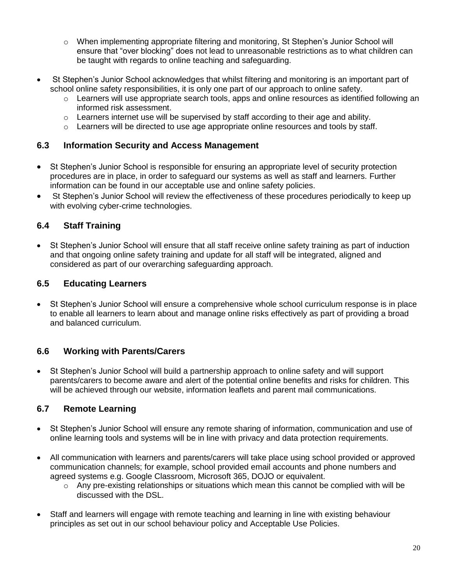- $\circ$  When implementing appropriate filtering and monitoring, St Stephen's Junior School will ensure that "over blocking" does not lead to unreasonable restrictions as to what children can be taught with regards to online teaching and safeguarding.
- St Stephen's Junior School acknowledges that whilst filtering and monitoring is an important part of school online safety responsibilities, it is only one part of our approach to online safety.
	- $\circ$  Learners will use appropriate search tools, apps and online resources as identified following an informed risk assessment.
	- $\circ$  Learners internet use will be supervised by staff according to their age and ability.
	- $\circ$  Learners will be directed to use age appropriate online resources and tools by staff.

#### **6.3 Information Security and Access Management**

- St Stephen's Junior School is responsible for ensuring an appropriate level of security protection procedures are in place, in order to safeguard our systems as well as staff and learners. Further information can be found in our acceptable use and online safety policies.
- St Stephen's Junior School will review the effectiveness of these procedures periodically to keep up with evolving cyber-crime technologies.

## **6.4 Staff Training**

 St Stephen's Junior School will ensure that all staff receive online safety training as part of induction and that ongoing online safety training and update for all staff will be integrated, aligned and considered as part of our overarching safeguarding approach.

## **6.5 Educating Learners**

 St Stephen's Junior School will ensure a comprehensive whole school curriculum response is in place to enable all learners to learn about and manage online risks effectively as part of providing a broad and balanced curriculum.

#### **6.6 Working with Parents/Carers**

 St Stephen's Junior School will build a partnership approach to online safety and will support parents/carers to become aware and alert of the potential online benefits and risks for children. This will be achieved through our website, information leaflets and parent mail communications.

## **6.7 Remote Learning**

- St Stephen's Junior School will ensure any remote sharing of information, communication and use of online learning tools and systems will be in line with privacy and data protection requirements.
- All communication with learners and parents/carers will take place using school provided or approved communication channels; for example, school provided email accounts and phone numbers and agreed systems e.g. Google Classroom, Microsoft 365, DOJO or equivalent.
	- $\circ$  Any pre-existing relationships or situations which mean this cannot be complied with will be discussed with the DSL.
- Staff and learners will engage with remote teaching and learning in line with existing behaviour principles as set out in our school behaviour policy and Acceptable Use Policies.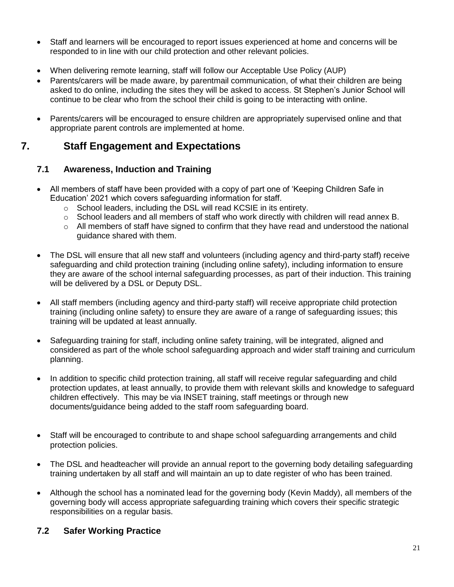- Staff and learners will be encouraged to report issues experienced at home and concerns will be responded to in line with our child protection and other relevant policies.
- When delivering remote learning, staff will follow our Acceptable Use Policy (AUP)
- Parents/carers will be made aware, by parentmail communication, of what their children are being asked to do online, including the sites they will be asked to access. St Stephen's Junior School will continue to be clear who from the school their child is going to be interacting with online.
- Parents/carers will be encouraged to ensure children are appropriately supervised online and that appropriate parent controls are implemented at home.

## **7. Staff Engagement and Expectations**

## **7.1 Awareness, Induction and Training**

- All members of staff have been provided with a copy of part one of 'Keeping Children Safe in Education' 2021 which covers safeguarding information for staff.
	- o School leaders, including the DSL will read KCSIE in its entirety.
	- $\circ$  School leaders and all members of staff who work directly with children will read annex B.
	- $\circ$  All members of staff have signed to confirm that they have read and understood the national guidance shared with them.
- The DSL will ensure that all new staff and volunteers (including agency and third-party staff) receive safeguarding and child protection training (including online safety), including information to ensure they are aware of the school internal safeguarding processes, as part of their induction. This training will be delivered by a DSL or Deputy DSL.
- All staff members (including agency and third-party staff) will receive appropriate child protection training (including online safety) to ensure they are aware of a range of safeguarding issues; this training will be updated at least annually.
- Safeguarding training for staff, including online safety training, will be integrated, aligned and considered as part of the whole school safeguarding approach and wider staff training and curriculum planning.
- In addition to specific child protection training, all staff will receive regular safeguarding and child protection updates, at least annually, to provide them with relevant skills and knowledge to safeguard children effectively. This may be via INSET training, staff meetings or through new documents/guidance being added to the staff room safeguarding board.
- Staff will be encouraged to contribute to and shape school safeguarding arrangements and child protection policies.
- The DSL and headteacher will provide an annual report to the governing body detailing safeguarding training undertaken by all staff and will maintain an up to date register of who has been trained.
- Although the school has a nominated lead for the governing body (Kevin Maddy), all members of the governing body will access appropriate safeguarding training which covers their specific strategic responsibilities on a regular basis.

## **7.2 Safer Working Practice**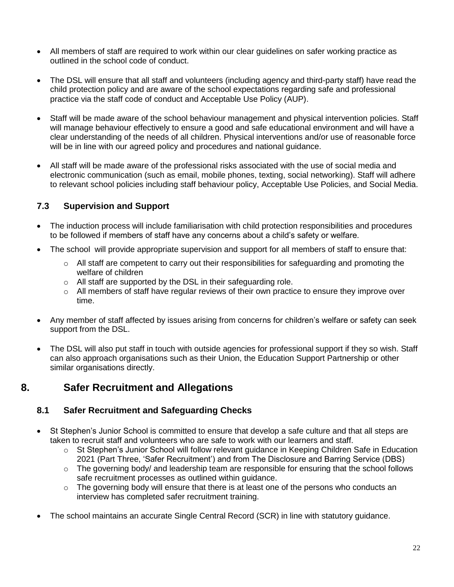- All members of staff are required to work within our clear guidelines on safer working practice as outlined in the school code of conduct.
- The DSL will ensure that all staff and volunteers (including agency and third-party staff) have read the child protection policy and are aware of the school expectations regarding safe and professional practice via the staff code of conduct and Acceptable Use Policy (AUP).
- Staff will be made aware of the school behaviour management and physical intervention policies. Staff will manage behaviour effectively to ensure a good and safe educational environment and will have a clear understanding of the needs of all children. Physical interventions and/or use of reasonable force will be in line with our agreed policy and procedures and national guidance.
- All staff will be made aware of the professional risks associated with the use of social media and electronic communication (such as email, mobile phones, texting, social networking). Staff will adhere to relevant school policies including staff behaviour policy, Acceptable Use Policies, and Social Media.

## **7.3 Supervision and Support**

- The induction process will include familiarisation with child protection responsibilities and procedures to be followed if members of staff have any concerns about a child's safety or welfare.
- The school will provide appropriate supervision and support for all members of staff to ensure that:
	- $\circ$  All staff are competent to carry out their responsibilities for safeguarding and promoting the welfare of children
	- o All staff are supported by the DSL in their safeguarding role.
	- o All members of staff have regular reviews of their own practice to ensure they improve over time.
- Any member of staff affected by issues arising from concerns for children's welfare or safety can seek support from the DSL.
- The DSL will also put staff in touch with outside agencies for professional support if they so wish. Staff can also approach organisations such as their Union, the Education Support Partnership or other similar organisations directly.

# **8. Safer Recruitment and Allegations**

## **8.1 Safer Recruitment and Safeguarding Checks**

- St Stephen's Junior School is committed to ensure that develop a safe culture and that all steps are taken to recruit staff and volunteers who are safe to work with our learners and staff.
	- o St Stephen's Junior School will follow relevant guidance in Keeping Children Safe in Education 2021 (Part Three, 'Safer Recruitment') and from The Disclosure and Barring Service (DBS)
	- o The governing body/ and leadership team are responsible for ensuring that the school follows safe recruitment processes as outlined within guidance.
	- $\circ$  The governing body will ensure that there is at least one of the persons who conducts an interview has completed safer recruitment training.
- The school maintains an accurate Single Central Record (SCR) in line with statutory guidance.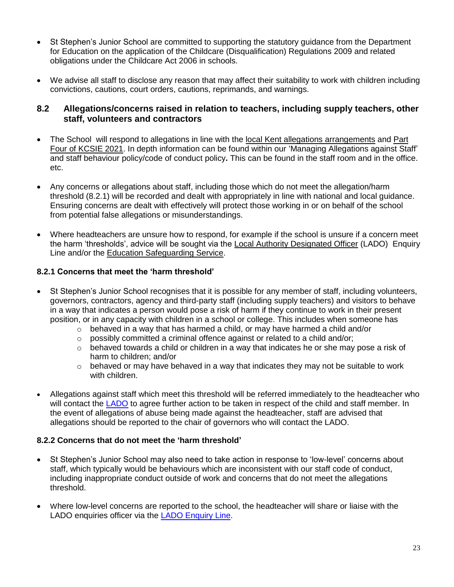- St Stephen's Junior School are committed to supporting the statutory guidance from the Department for Education on the application of the Childcare (Disqualification) Regulations 2009 and related obligations under the Childcare Act 2006 in schools.
- We advise all staff to disclose any reason that may affect their suitability to work with children including convictions, cautions, court orders, cautions, reprimands, and warnings.

#### **8.2 Allegations/concerns raised in relation to teachers, including supply teachers, other staff, volunteers and contractors**

- The School will respond to allegations in line with the local Kent allegations [arrangements](https://www.kscmp.org.uk/procedures/local-authority-designated-officer-lado) and [Part](https://www.gov.uk/government/publications/keeping-children-safe-in-education--2)  [Four of KCSIE 2021.](https://www.gov.uk/government/publications/keeping-children-safe-in-education--2) In depth information can be found within our 'Managing Allegations against Staff' and staff behaviour policy/code of conduct policy**.** This can be found in the staff room and in the office. etc.
- Any concerns or allegations about staff, including those which do not meet the allegation/harm threshold (8.2.1) will be recorded and dealt with appropriately in line with national and local guidance. Ensuring concerns are dealt with effectively will protect those working in or on behalf of the school from potential false allegations or misunderstandings.
- Where headteachers are unsure how to respond, for example if the school is unsure if a concern meet the harm 'thresholds', advice will be sought via the [Local Authority Designated Officer](https://www.kscmp.org.uk/procedures/local-authority-designated-officer-lado) (LADO) Enquiry Line and/or the [Education Safeguarding Service.](https://www.theeducationpeople.org/our-expertise/safeguarding/safeguarding-contacts/)

#### **8.2.1 Concerns that meet the 'harm threshold'**

- St Stephen's Junior School recognises that it is possible for any member of staff, including volunteers, governors, contractors, agency and third-party staff (including supply teachers) and visitors to behave in a way that indicates a person would pose a risk of harm if they continue to work in their present position, or in any capacity with children in a school or college. This includes when someone has
	- $\circ$  behaved in a way that has harmed a child, or may have harmed a child and/or
	- o possibly committed a criminal offence against or related to a child and/or;
	- $\circ$  behaved towards a child or children in a way that indicates he or she may pose a risk of harm to children; and/or
	- $\circ$  behaved or may have behaved in a way that indicates they may not be suitable to work with children.
- Allegations against staff which meet this threshold will be referred immediately to the headteacher who will contact the [LADO](https://www.kscmp.org.uk/procedures/local-authority-designated-officer-lado) to agree further action to be taken in respect of the child and staff member. In the event of allegations of abuse being made against the headteacher, staff are advised that allegations should be reported to the chair of governors who will contact the LADO.

#### **8.2.2 Concerns that do not meet the 'harm threshold'**

- St Stephen's Junior School may also need to take action in response to 'low-level' concerns about staff, which typically would be behaviours which are inconsistent with our staff code of conduct, including inappropriate conduct outside of work and concerns that do not meet the allegations threshold.
- Where low-level concerns are reported to the school, the headteacher will share or liaise with the LADO enquiries officer via the [LADO Enquiry Line.](https://eur01.safelinks.protection.outlook.com/?url=https%3A%2F%2Fwww.kscmp.org.uk%2Fprocedures%2Flocal-authority-designated-officer-lado&data=04%7C01%7CAlison.Watling%40kent.gov.uk%7Cefd47327a4fa4b3a972708d950d61f12%7C3253a20dc7354bfea8b73e6ab37f5f90%7C0%7C0%7C637629703166084747%7CUnknown%7CTWFpbGZsb3d8eyJWIjoiMC4wLjAwMDAiLCJQIjoiV2luMzIiLCJBTiI6Ik1haWwiLCJXVCI6Mn0%3D%7C1000&sdata=gh4qmYZ5N3khjaixDrEVQntTOJ74wGAlZxO%2FQDEudf0%3D&reserved=0)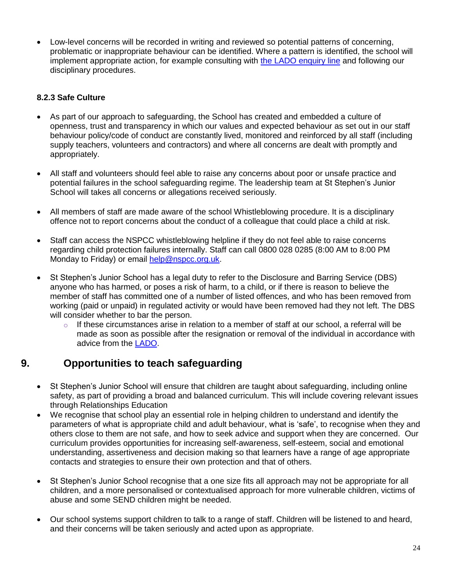Low-level concerns will be recorded in writing and reviewed so potential patterns of concerning, problematic or inappropriate behaviour can be identified. Where a pattern is identified, the school will implement appropriate action, for example consulting with the LADO [enquiry line](https://www.kscmp.org.uk/procedures/local-authority-designated-officer-lado) and following our disciplinary procedures.

## **8.2.3 Safe Culture**

- As part of our approach to safeguarding, the School has created and embedded a culture of openness, trust and transparency in which our values and expected behaviour as set out in our staff behaviour policy/code of conduct are constantly lived, monitored and reinforced by all staff (including supply teachers, volunteers and contractors) and where all concerns are dealt with promptly and appropriately.
- All staff and volunteers should feel able to raise any concerns about poor or unsafe practice and potential failures in the school safeguarding regime. The leadership team at St Stephen's Junior School will takes all concerns or allegations received seriously.
- All members of staff are made aware of the school Whistleblowing procedure. It is a disciplinary offence not to report concerns about the conduct of a colleague that could place a child at risk.
- Staff can access the NSPCC whistleblowing helpline if they do not feel able to raise concerns regarding child protection failures internally. Staff can call 0800 028 0285 (8:00 AM to 8:00 PM Monday to Friday) or email [help@nspcc.org.uk.](mailto:help@nspcc.org.uk)
- St Stephen's Junior School has a legal duty to refer to the Disclosure and Barring Service (DBS) anyone who has harmed, or poses a risk of harm, to a child, or if there is reason to believe the member of staff has committed one of a number of listed offences, and who has been removed from working (paid or unpaid) in regulated activity or would have been removed had they not left. The DBS will consider whether to bar the person.
	- $\circ$  If these circumstances arise in relation to a member of staff at our school, a referral will be made as soon as possible after the resignation or removal of the individual in accordance with advice from the [LADO.](https://www.kscmp.org.uk/procedures/local-authority-designated-officer-lado)

# **9. Opportunities to teach safeguarding**

- St Stephen's Junior School will ensure that children are taught about safeguarding, including online safety, as part of providing a broad and balanced curriculum. This will include covering relevant issues through Relationships Education
- We recognise that school play an essential role in helping children to understand and identify the parameters of what is appropriate child and adult behaviour, what is 'safe', to recognise when they and others close to them are not safe, and how to seek advice and support when they are concerned. Our curriculum provides opportunities for increasing self-awareness, self-esteem, social and emotional understanding, assertiveness and decision making so that learners have a range of age appropriate contacts and strategies to ensure their own protection and that of others.
- St Stephen's Junior School recognise that a one size fits all approach may not be appropriate for all children, and a more personalised or contextualised approach for more vulnerable children, victims of abuse and some SEND children might be needed.
- Our school systems support children to talk to a range of staff. Children will be listened to and heard, and their concerns will be taken seriously and acted upon as appropriate.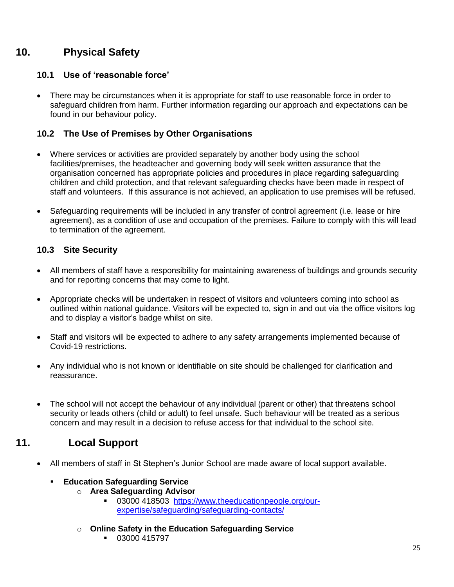# **10. Physical Safety**

## **10.1 Use of 'reasonable force'**

 There may be circumstances when it is appropriate for staff to use reasonable force in order to safeguard children from harm. Further information regarding our approach and expectations can be found in our behaviour policy.

## **10.2 The Use of Premises by Other Organisations**

- Where services or activities are provided separately by another body using the school facilities/premises, the headteacher and governing body will seek written assurance that the organisation concerned has appropriate policies and procedures in place regarding safeguarding children and child protection, and that relevant safeguarding checks have been made in respect of staff and volunteers. If this assurance is not achieved, an application to use premises will be refused.
- Safeguarding requirements will be included in any transfer of control agreement (i.e. lease or hire agreement), as a condition of use and occupation of the premises. Failure to comply with this will lead to termination of the agreement.

## **10.3 Site Security**

- All members of staff have a responsibility for maintaining awareness of buildings and grounds security and for reporting concerns that may come to light.
- Appropriate checks will be undertaken in respect of visitors and volunteers coming into school as outlined within national guidance. Visitors will be expected to, sign in and out via the office visitors log and to display a visitor's badge whilst on site.
- Staff and visitors will be expected to adhere to any safety arrangements implemented because of Covid-19 restrictions.
- Any individual who is not known or identifiable on site should be challenged for clarification and reassurance.
- The school will not accept the behaviour of any individual (parent or other) that threatens school security or leads others (child or adult) to feel unsafe. Such behaviour will be treated as a serious concern and may result in a decision to refuse access for that individual to the school site.

# **11. Local Support**

All members of staff in St Stephen's Junior School are made aware of local support available.

#### **Education Safeguarding Service**

- o **Area Safeguarding Advisor**
	- 03000 418503 [https://www.theeducationpeople.org/our](https://www.theeducationpeople.org/our-expertise/safeguarding/safeguarding-contacts/)[expertise/safeguarding/safeguarding-contacts/](https://www.theeducationpeople.org/our-expertise/safeguarding/safeguarding-contacts/)
- o **Online Safety in the Education Safeguarding Service**
	- $-03000415797$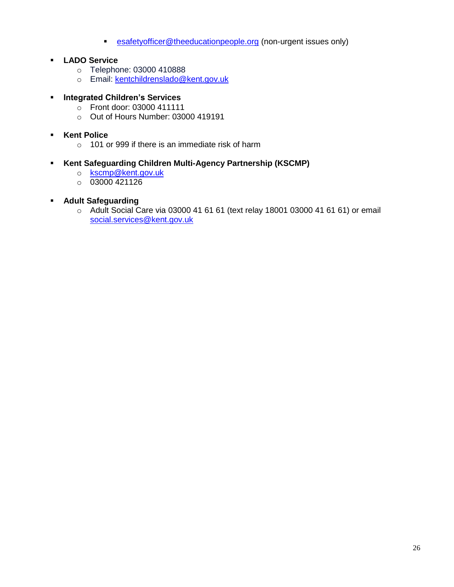- **[esafetyofficer@theeducationpeople.org](mailto:esafetyofficer@theeducationpeople.org)** (non-urgent issues only)
- **LADO Service**
	- o Telephone: 03000 410888
	- o Email: [kentchildrenslado@kent.gov.uk](mailto:kentchildrenslado@kent.gov.uk)

## **Integrated Children's Services**

- o Front door: 03000 411111
- o Out of Hours Number: 03000 419191

## **Kent Police**

 $\circ$  101 or 999 if there is an immediate risk of harm

## **Kent Safeguarding Children Multi-Agency Partnership (KSCMP)**

- o [kscmp@kent.gov.uk](mailto:kscmp@kent.gov.uk)
- $\circ$  03000 421126
- **Adult Safeguarding**
	- o Adult Social Care via 03000 41 61 61 (text relay 18001 03000 41 61 61) or email [social.services@kent.gov.uk](mailto:social.services@kent.gov.uk)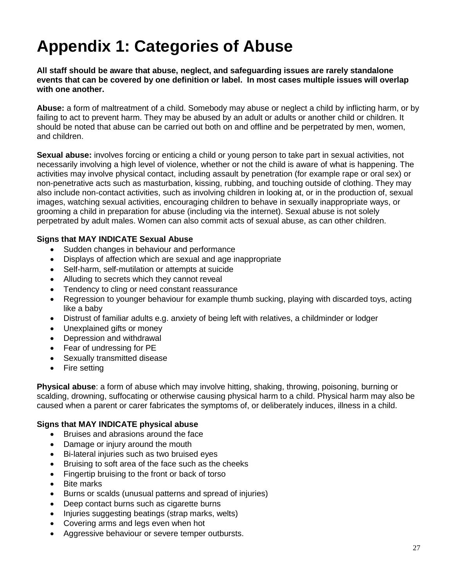# **Appendix 1: Categories of Abuse**

**All staff should be aware that abuse, neglect, and safeguarding issues are rarely standalone events that can be covered by one definition or label. In most cases multiple issues will overlap with one another.**

**Abuse:** a form of maltreatment of a child. Somebody may abuse or neglect a child by inflicting harm, or by failing to act to prevent harm. They may be abused by an adult or adults or another child or children. It should be noted that abuse can be carried out both on and offline and be perpetrated by men, women, and children.

**Sexual abuse:** involves forcing or enticing a child or young person to take part in sexual activities, not necessarily involving a high level of violence, whether or not the child is aware of what is happening. The activities may involve physical contact, including assault by penetration (for example rape or oral sex) or non-penetrative acts such as masturbation, kissing, rubbing, and touching outside of clothing. They may also include non-contact activities, such as involving children in looking at, or in the production of, sexual images, watching sexual activities, encouraging children to behave in sexually inappropriate ways, or grooming a child in preparation for abuse (including via the internet). Sexual abuse is not solely perpetrated by adult males. Women can also commit acts of sexual abuse, as can other children.

#### **Signs that MAY INDICATE Sexual Abuse**

- Sudden changes in behaviour and performance
- Displays of affection which are sexual and age inappropriate
- Self-harm, self-mutilation or attempts at suicide
- Alluding to secrets which they cannot reveal
- Tendency to cling or need constant reassurance
- Regression to younger behaviour for example thumb sucking, playing with discarded toys, acting like a baby
- Distrust of familiar adults e.g. anxiety of being left with relatives, a childminder or lodger
- Unexplained gifts or money
- Depression and withdrawal
- Fear of undressing for PE
- Sexually transmitted disease
- Fire setting

**Physical abuse**: a form of abuse which may involve hitting, shaking, throwing, poisoning, burning or scalding, drowning, suffocating or otherwise causing physical harm to a child. Physical harm may also be caused when a parent or carer fabricates the symptoms of, or deliberately induces, illness in a child.

#### **Signs that MAY INDICATE physical abuse**

- Bruises and abrasions around the face
- Damage or injury around the mouth
- Bi-lateral injuries such as two bruised eyes
- Bruising to soft area of the face such as the cheeks
- Fingertip bruising to the front or back of torso
- Bite marks
- Burns or scalds (unusual patterns and spread of injuries)
- Deep contact burns such as cigarette burns
- Injuries suggesting beatings (strap marks, welts)
- Covering arms and legs even when hot
- Aggressive behaviour or severe temper outbursts.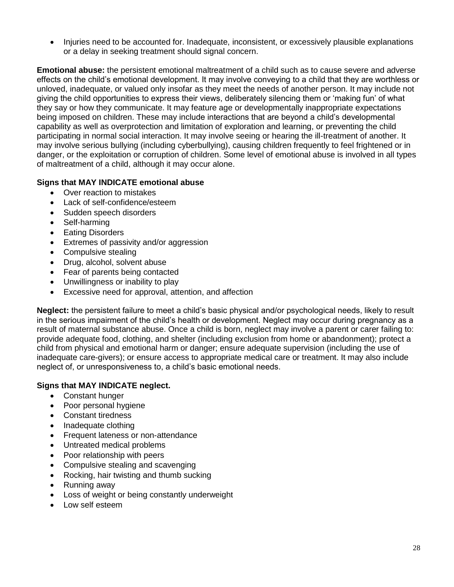• Injuries need to be accounted for. Inadequate, inconsistent, or excessively plausible explanations or a delay in seeking treatment should signal concern.

**Emotional abuse:** the persistent emotional maltreatment of a child such as to cause severe and adverse effects on the child's emotional development. It may involve conveying to a child that they are worthless or unloved, inadequate, or valued only insofar as they meet the needs of another person. It may include not giving the child opportunities to express their views, deliberately silencing them or 'making fun' of what they say or how they communicate. It may feature age or developmentally inappropriate expectations being imposed on children. These may include interactions that are beyond a child's developmental capability as well as overprotection and limitation of exploration and learning, or preventing the child participating in normal social interaction. It may involve seeing or hearing the ill-treatment of another. It may involve serious bullying (including cyberbullying), causing children frequently to feel frightened or in danger, or the exploitation or corruption of children. Some level of emotional abuse is involved in all types of maltreatment of a child, although it may occur alone.

#### **Signs that MAY INDICATE emotional abuse**

- Over reaction to mistakes
- Lack of self-confidence/esteem
- Sudden speech disorders
- Self-harming
- Eating Disorders
- Extremes of passivity and/or aggression
- Compulsive stealing
- Drug, alcohol, solvent abuse
- Fear of parents being contacted
- Unwillingness or inability to play
- Excessive need for approval, attention, and affection

**Neglect:** the persistent failure to meet a child's basic physical and/or psychological needs, likely to result in the serious impairment of the child's health or development. Neglect may occur during pregnancy as a result of maternal substance abuse. Once a child is born, neglect may involve a parent or carer failing to: provide adequate food, clothing, and shelter (including exclusion from home or abandonment); protect a child from physical and emotional harm or danger; ensure adequate supervision (including the use of inadequate care-givers); or ensure access to appropriate medical care or treatment. It may also include neglect of, or unresponsiveness to, a child's basic emotional needs.

#### **Signs that MAY INDICATE neglect.**

- Constant hunger
- Poor personal hygiene
- Constant tiredness
- Inadequate clothing
- Frequent lateness or non-attendance
- Untreated medical problems
- Poor relationship with peers
- Compulsive stealing and scavenging
- Rocking, hair twisting and thumb sucking
- Running away
- Loss of weight or being constantly underweight
- Low self esteem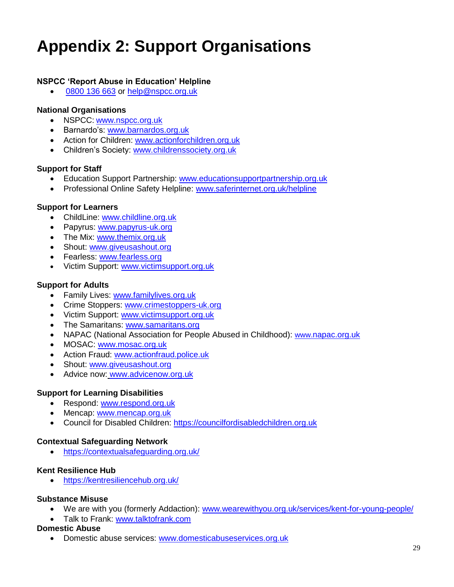# **Appendix 2: Support Organisations**

#### **NSPCC 'Report Abuse in Education' Helpline**

[0800 136 663](tel:0800%20136%20663) or [help@nspcc.org.uk](mailto:help@nspcc.org.uk)

#### **National Organisations**

- NSPCC: [www.nspcc.org.uk](http://www.nspcc.org.uk/)
- Barnardo's: [www.barnardos.org.uk](http://www.barnardos.org.uk/)
- Action for Children: [www.actionforchildren.org.uk](http://www.actionforchildren.org.uk/)
- Children's Society: [www.childrenssociety.org.uk](http://www.childrenssociety.org.uk/)

#### **Support for Staff**

- Education Support Partnership: [www.educationsupportpartnership.org.uk](http://www.educationsupportpartnership.org.uk/)
- Professional Online Safety Helpline: [www.saferinternet.org.uk/helpline](http://www.saferinternet.org.uk/helpline)

#### **Support for Learners**

- ChildLine: [www.childline.org.uk](http://www.childline.org.uk/)
- Papyrus: [www.papyrus-uk.org](http://www.papyrus-uk.org/)
- The Mix: [www.themix.org.uk](http://www.themix.org.uk/)
- Shout: [www.giveusashout.org](http://www.giveusashout.org/)
- **•** Fearless: [www.fearless.org](http://www.fearless.org/)
- Victim Support: [www.victimsupport.org.uk](http://www.victimsupport.org.uk/)

#### **Support for Adults**

- Family Lives: [www.familylives.org.uk](http://www.familylives.org.uk/)
- Crime Stoppers: [www.crimestoppers-uk.org](http://www.crimestoppers-uk.org/)
- Victim Support: [www.victimsupport.org.uk](http://www.victimsupport.org.uk/)
- The Samaritans: [www.samaritans.org](http://www.samaritans.org/)
- NAPAC (National Association for People Abused in Childhood): www.napac.org.uk
- MOSAC: [www.mosac.org.uk](http://www.mosac.org.uk/)
- Action Fraud: [www.actionfraud.police.uk](http://www.actionfraud.police.uk/)
- Shout: [www.giveusashout.org](http://www.giveusashout.org/)
- Advice now: www.advicenow.org.uk

#### **Support for Learning Disabilities**

- Respond: [www.respond.org.uk](http://www.respond.org.uk/)
- Mencap: [www.mencap.org.uk](http://www.mencap.org.uk/)
- Council for Disabled Children: [https://councilfordisabledchildren.org.uk](https://councilfordisabledchildren.org.uk/)

#### **Contextual Safeguarding Network**

<https://contextualsafeguarding.org.uk/>

#### **Kent Resilience Hub**

<https://kentresiliencehub.org.uk/>

#### **Substance Misuse**

- We are with you (formerly Addaction): [www.wearewithyou.org.uk/services/kent-for-young-people/](http://www.wearewithyou.org.uk/services/kent-for-young-people/)
- Talk to Frank: [www.talktofrank.com](http://www.talktofrank.com/)

#### **Domestic Abuse**

Domestic abuse services: [www.domesticabuseservices.org.uk](http://www.domesticabuseservices.org.uk/)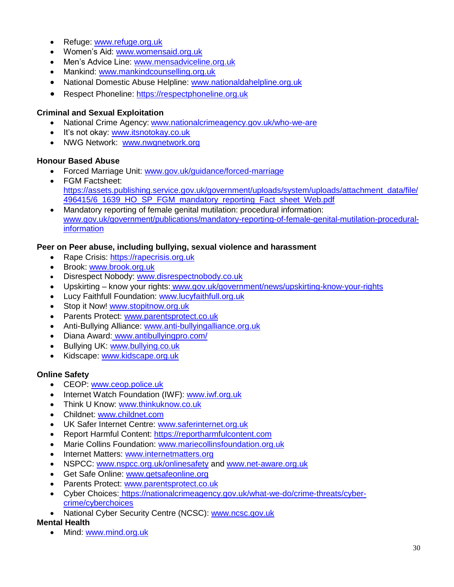- Refuge: [www.refuge.org.uk](http://www.refuge.org.uk/)
- Women's Aid: [www.womensaid.org.uk](http://www.womensaid.org.uk/)
- Men's Advice Line: [www.mensadviceline.org.uk](http://www.mensadviceline.org.uk/)
- Mankind: [www.mankindcounselling.org.uk](http://www.mankindcounselling.org.uk/)
- National Domestic Abuse Helpline: [www.nationaldahelpline.org.uk](http://www.nationaldahelpline.org.uk/)
- Respect Phoneline: [https://respectphoneline.org.uk](https://respectphoneline.org.uk/)

#### **Criminal and Sexual Exploitation**

- National Crime Agency: [www.nationalcrimeagency.gov.uk/who-we-are](http://www.nationalcrimeagency.gov.uk/who-we-are)
- It's not okay: [www.itsnotokay.co.uk](http://www.itsnotokay.co.uk/)
- NWG Network: [www.nwgnetwork.org](http://www.nwgnetwork.org/)

#### **Honour Based Abuse**

- Forced Marriage Unit: [www.gov.uk/guidance/forced-marriage](http://www.gov.uk/guidance/forced-marriage)
- FGM Factsheet: [https://assets.publishing.service.gov.uk/government/uploads/system/uploads/attachment\\_data/file/](https://assets.publishing.service.gov.uk/government/uploads/system/uploads/attachment_data/file/496415/6_1639_HO_SP_FGM_mandatory_reporting_Fact_sheet_Web.pdf) [496415/6\\_1639\\_HO\\_SP\\_FGM\\_mandatory\\_reporting\\_Fact\\_sheet\\_Web.pdf](https://assets.publishing.service.gov.uk/government/uploads/system/uploads/attachment_data/file/496415/6_1639_HO_SP_FGM_mandatory_reporting_Fact_sheet_Web.pdf)
- Mandatory reporting of female genital mutilation: procedural information: [www.gov.uk/government/publications/mandatory-reporting-of-female-genital-mutilation-procedural](http://www.gov.uk/government/publications/mandatory-reporting-of-female-genital-mutilation-procedural-information)[information](http://www.gov.uk/government/publications/mandatory-reporting-of-female-genital-mutilation-procedural-information)

#### **Peer on Peer abuse, including bullying, sexual violence and harassment**

- Rape Crisis: [https://rapecrisis.org.uk](https://rapecrisis.org.uk/)
- Brook: [www.brook.org.uk](http://www.brook.org.uk/)
- Disrespect Nobody: [www.disrespectnobody.co.uk](http://www.disrespectnobody.co.uk/)
- Upskirting know your rights: [www.gov.uk/government/news/upskirting-know-your-rights](http://www.gov.uk/government/news/upskirting-know-your-rights)
- Lucy Faithfull Foundation: [www.lucyfaithfull.org.uk](http://www.lucyfaithfull.org.uk/)
- Stop it Now! [www.stopitnow.org.uk](http://www.stopitnow.org.uk/)
- Parents Protect: [www.parentsprotect.co.uk](http://www.parentsprotect.co.uk/)
- Anti-Bullying Alliance: [www.anti-bullyingalliance.org.uk](http://www.anti-bullyingalliance.org.uk/)
- Diana Award: [www.antibullyingpro.com/](http://www.antibullyingpro.com/)
- Bullying UK: [www.bullying.co.uk](http://www.bullying.co.uk/)
- Kidscape: [www.kidscape.org.uk](http://www.kidscape.org.uk/)

#### **Online Safety**

- CEOP: [www.ceop.police.uk](http://www.ceop.police.uk/)
- Internet Watch Foundation (IWF): [www.iwf.org.uk](http://www.iwf.org.uk/)
- Think U Know: [www.thinkuknow.co.uk](http://www.thinkuknow.co.uk/)
- Childnet: [www.childnet.com](http://www.childnet.com/)
- UK Safer Internet Centre: [www.saferinternet.org.uk](http://www.saferinternet.org.uk/)
- Report Harmful Content: [https://reportharmfulcontent.com](https://reportharmfulcontent.com/)
- Marie Collins Foundation: [www.mariecollinsfoundation.org.uk](http://www.mariecollinsfoundation.org.uk/)
- Internet Matters: [www.internetmatters.org](http://www.internetmatters.org/)
- NSPCC: [www.nspcc.org.uk/onlinesafety](http://www.nspcc.org.uk/onlinesafety) and [www.net-aware.org.uk](http://www.net-aware.org.uk/)
- **Get Safe Online: [www.getsafeonline.org](https://www.getsafeonline.org/)**
- Parents Protect: [www.parentsprotect.co.uk](http://www.parentsprotect.co.uk/)
- Cyber Choices: [https://nationalcrimeagency.gov.uk/what-we-do/crime-threats/cyber](https://nationalcrimeagency.gov.uk/what-we-do/crime-threats/cyber-crime/cyberchoices)[crime/cyberchoices](https://nationalcrimeagency.gov.uk/what-we-do/crime-threats/cyber-crime/cyberchoices)
- National Cyber Security Centre (NCSC): [www.ncsc.gov.uk](http://www.ncsc.gov.uk/)

#### **Mental Health**

• Mind: [www.mind.org.uk](http://www.mind.org.uk/)